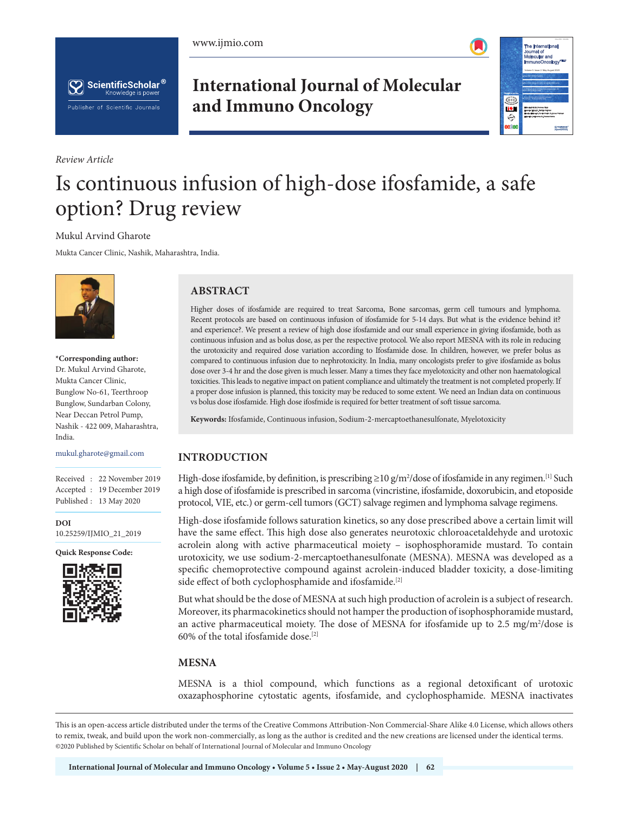





*Review Article*

# **International Journal of Molecular and Immuno Oncology**



# Is continuous infusion of high-dose ifosfamide, a safe option? Drug review

#### Mukul Arvind Gharote

Mukta Cancer Clinic, Nashik, Maharashtra, India.



**\*Corresponding author:** Dr. Mukul Arvind Gharote, Mukta Cancer Clinic, Bunglow No-61, Teerthroop Bunglow, Sundarban Colony, Near Deccan Petrol Pump, Nashik - 422 009, Maharashtra, India.

mukul.gharote@gmail.com

Received : 22 November 2019 Accepted : 19 December 2019 Published : 13 May 2020

**DOI** 10.25259/IJMIO\_21\_2019

**Quick Response Code:**



## **ABSTRACT**

Higher doses of ifosfamide are required to treat Sarcoma, Bone sarcomas, germ cell tumours and lymphoma. Recent protocols are based on continuous infusion of ifosfamide for 5-14 days. But what is the evidence behind it? and experience?. We present a review of high dose ifosfamide and our small experience in giving ifosfamide, both as continuous infusion and as bolus dose, as per the respective protocol. We also report MESNA with its role in reducing the urotoxicity and required dose variation according to Ifosfamide dose. In children, however, we prefer bolus as compared to continuous infusion due to nephrotoxicity. In India, many oncologists prefer to give ifosfamide as bolus dose over 3-4 hr and the dose given is much lesser. Many a times they face myelotoxicity and other non haematological toxicities. This leads to negative impact on patient compliance and ultimately the treatment is not completed properly. If a proper dose infusion is planned, this toxicity may be reduced to some extent. We need an Indian data on continuous vs bolus dose ifosfamide. High dose ifosfmide is required for better treatment of soft tissue sarcoma.

**Keywords:** Ifosfamide, Continuous infusion, Sodium-2-mercaptoethanesulfonate, Myelotoxicity

### **INTRODUCTION**

High-dose ifosfamide, by definition, is prescribing  $\geq 10$  g/m<sup>2</sup>/dose of ifosfamide in any regimen.<sup>[1]</sup> Such a high dose of ifosfamide is prescribed in sarcoma (vincristine, ifosfamide, doxorubicin, and etoposide protocol, VIE, etc.) or germ-cell tumors (GCT) salvage regimen and lymphoma salvage regimens.

High-dose ifosfamide follows saturation kinetics, so any dose prescribed above a certain limit will have the same effect. This high dose also generates neurotoxic chloroacetaldehyde and urotoxic acrolein along with active pharmaceutical moiety – isophosphoramide mustard. To contain urotoxicity, we use sodium-2-mercaptoethanesulfonate (MESNA). MESNA was developed as a specific chemoprotective compound against acrolein-induced bladder toxicity, a dose-limiting side effect of both cyclophosphamide and ifosfamide.<sup>[2]</sup>

But what should be the dose of MESNA at such high production of acrolein is a subject of research. Moreover, its pharmacokinetics should not hamper the production of isophosphoramide mustard, an active pharmaceutical moiety. The dose of MESNA for ifosfamide up to 2.5 mg/m<sup>2</sup>/dose is 60% of the total ifosfamide dose.[2]

#### **MESNA**

MESNA is a thiol compound, which functions as a regional detoxificant of urotoxic oxazaphosphorine cytostatic agents, ifosfamide, and cyclophosphamide. MESNA inactivates

This is an open-access article distributed under the terms of the Creative Commons Attribution-Non Commercial-Share Alike 4.0 License, which allows others to remix, tweak, and build upon the work non-commercially, as long as the author is credited and the new creations are licensed under the identical terms. ©2020 Published by Scientific Scholar on behalf of International Journal of Molecular and Immuno Oncology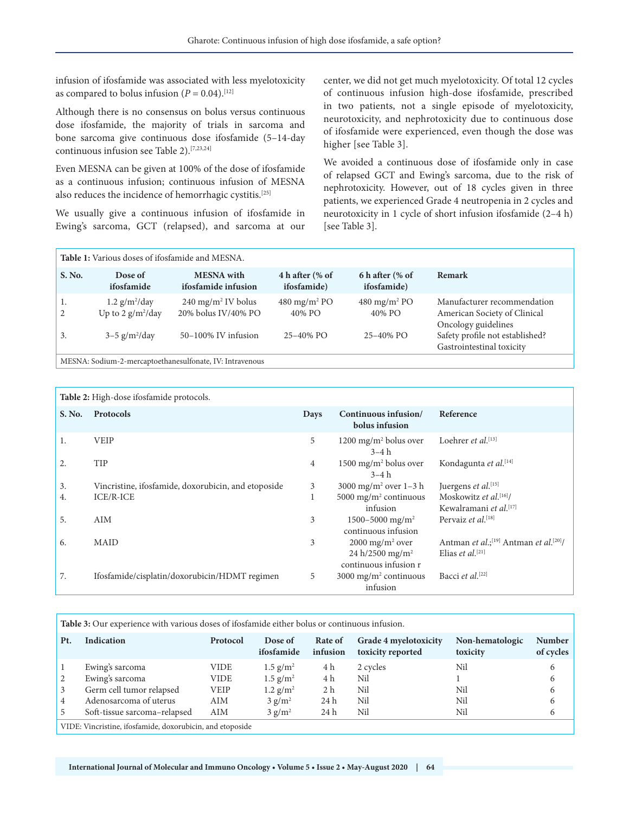infusion of ifosfamide was associated with less myelotoxicity as compared to bolus infusion  $(P = 0.04)$ .<sup>[12]</sup>

Although there is no consensus on bolus versus continuous dose ifosfamide, the majority of trials in sarcoma and bone sarcoma give continuous dose ifosfamide (5–14-day continuous infusion see Table 2).[7,23,24]

Even MESNA can be given at 100% of the dose of ifosfamide as a continuous infusion; continuous infusion of MESNA also reduces the incidence of hemorrhagic cystitis.[25]

We usually give a continuous infusion of ifosfamide in Ewing's sarcoma, GCT (relapsed), and sarcoma at our center, we did not get much myelotoxicity. Of total 12 cycles of continuous infusion high-dose ifosfamide, prescribed in two patients, not a single episode of myelotoxicity, neurotoxicity, and nephrotoxicity due to continuous dose of ifosfamide were experienced, even though the dose was higher [see Table 3].

We avoided a continuous dose of ifosfamide only in case of relapsed GCT and Ewing's sarcoma, due to the risk of nephrotoxicity. However, out of 18 cycles given in three patients, we experienced Grade 4 neutropenia in 2 cycles and neurotoxicity in 1 cycle of short infusion ifosfamide (2–4 h) [see Table 3].

| Table 1: Various doses of ifosfamide and MESNA. |                                                                                    |                                                                             |                                                     |                                                      |                                                                                                                       |  |  |  |
|-------------------------------------------------|------------------------------------------------------------------------------------|-----------------------------------------------------------------------------|-----------------------------------------------------|------------------------------------------------------|-----------------------------------------------------------------------------------------------------------------------|--|--|--|
| S. No.                                          | Dose of<br>ifosfamide                                                              | <b>MESNA</b> with<br>ifosfamide infusion                                    | 4 h after $\frac{6}{6}$ of<br><i>ifosfamide</i> )   | 6 h after $\frac{6}{6}$ of<br><i>ifosfamide</i> )    | <b>Remark</b>                                                                                                         |  |  |  |
| 1.<br>2<br>3.                                   | $1.2$ g/m <sup>2</sup> /day<br>Up to 2 $g/m^2$ /day<br>$3-5$ g/m <sup>2</sup> /day | $240 \text{ mg/m}^2$ IV bolus<br>20% bolus IV/40% PO<br>50-100% IV infusion | $480 \text{ mg/m}^2$ PO<br>40% PO<br>$25 - 40\%$ PO | 480 mg/m <sup>2</sup> PO<br>40% PO<br>$25 - 40\%$ PO | Manufacturer recommendation<br>American Society of Clinical<br>Oncology guidelines<br>Safety profile not established? |  |  |  |
|                                                 |                                                                                    | MECNIA, Codium 2 moreanteethaneeulfonate IV, Introvenous                    |                                                     |                                                      | Gastrointestinal toxicity                                                                                             |  |  |  |

MESNA: Sodium-2-mercaptoethanesulfonate, IV: Intravenous

| Table 2: High-dose ifosfamide protocols. |                                                     |      |                                                                                    |                                                                                       |  |  |
|------------------------------------------|-----------------------------------------------------|------|------------------------------------------------------------------------------------|---------------------------------------------------------------------------------------|--|--|
| S. No.                                   | <b>Protocols</b>                                    | Days | Continuous infusion/<br>bolus infusion                                             | Reference                                                                             |  |  |
| 1.                                       | <b>VEIP</b>                                         | 5    | 1200 mg/m <sup>2</sup> bolus over<br>$3-4h$                                        | Loehrer et al. <sup>[13]</sup>                                                        |  |  |
| 2.                                       | <b>TIP</b>                                          | 4    | 1500 mg/m <sup>2</sup> bolus over<br>$3-4h$                                        | Kondagunta et al.[14]                                                                 |  |  |
| 3.                                       | Vincristine, ifosfamide, doxorubicin, and etoposide | 3    | 3000 mg/m <sup>2</sup> over 1-3 h                                                  | Juergens et al.[15]                                                                   |  |  |
| 4.                                       | <b>ICE/R-ICE</b>                                    |      | 5000 mg/m <sup>2</sup> continuous                                                  | Moskowitz et al. $[16]$ /                                                             |  |  |
|                                          |                                                     |      | infusion                                                                           | Kewalramani et al.[17]                                                                |  |  |
| 5.                                       | <b>AIM</b>                                          | 3    | 1500-5000 mg/m <sup>2</sup><br>continuous infusion                                 | Pervaiz <i>et al.</i> <sup>[18]</sup>                                                 |  |  |
| 6.                                       | <b>MAID</b>                                         | 3    | $2000 \text{ mg/m}^2$ over<br>24 h/2500 mg/m <sup>2</sup><br>continuous infusion r | Antman et al.; <sup>[19]</sup> Antman et al. <sup>[20]</sup> /<br>Elias et al. $[21]$ |  |  |
| 7.                                       | Ifosfamide/cisplatin/doxorubicin/HDMT regimen       | 5    | 3000 mg/m <sup>2</sup> continuous<br>infusion                                      | Bacci et al. <sup>[22]</sup>                                                          |  |  |

**Table 3:** Our experience with various doses of ifosfamide either bolus or continuous infusion.

| Pt.                                                                     | Indication                   | Protocol | Dose of<br>ifosfamide  | Rate of<br>infusion | Grade 4 myelotoxicity<br>toxicity reported | Non-hematologic<br>toxicity | <b>Number</b><br>of cycles |  |
|-------------------------------------------------------------------------|------------------------------|----------|------------------------|---------------------|--------------------------------------------|-----------------------------|----------------------------|--|
|                                                                         | Ewing's sarcoma              | VIDE     | $1.5$ g/m <sup>2</sup> | 4 h                 | 2 cycles                                   | Nil                         |                            |  |
| 2                                                                       | Ewing's sarcoma              | VIDE     | $1.5$ g/m <sup>2</sup> | 4 h                 | Nil                                        |                             | 6                          |  |
| 3                                                                       | Germ cell tumor relapsed     | VEIP     | $1.2$ g/m <sup>2</sup> | 2 h                 | Nil                                        | Nil                         | 6                          |  |
| 4                                                                       | Adenosarcoma of uterus       | AIM      | $3$ g/m <sup>2</sup>   | 24 h                | Nil                                        | Nil                         | 6                          |  |
| 5                                                                       | Soft-tissue sarcoma-relapsed | AIM      | $3$ g/m <sup>2</sup>   | 24 h                | Nil                                        | Nil                         |                            |  |
| $\cdots$ $\cdots$<br>$\cdots$<br>$\mathbf{1}$ $\mathbf{1}$<br>THEFT THE |                              |          |                        |                     |                                            |                             |                            |  |

VIDE: Vincristine, ifosfamide, doxorubicin, and etoposide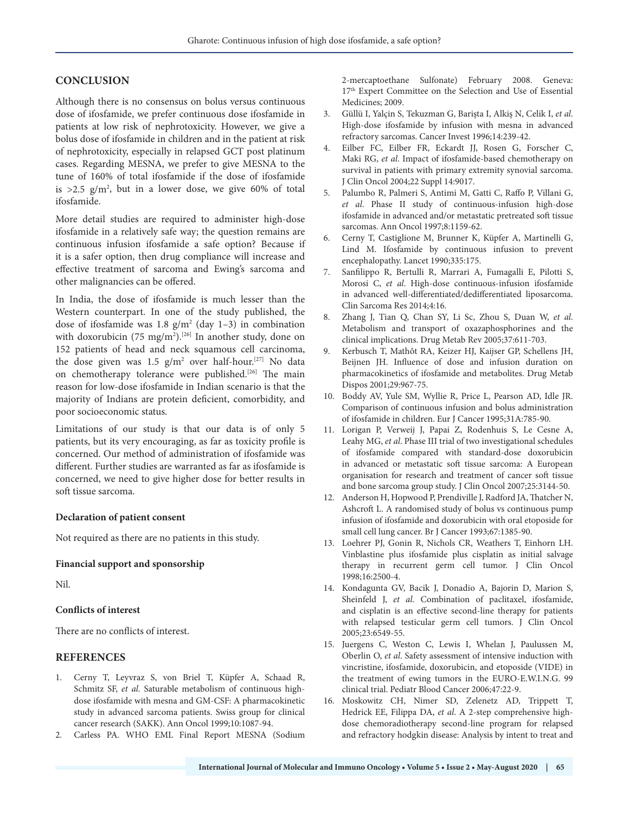#### **CONCLUSION**

Although there is no consensus on bolus versus continuous dose of ifosfamide, we prefer continuous dose ifosfamide in patients at low risk of nephrotoxicity. However, we give a bolus dose of ifosfamide in children and in the patient at risk of nephrotoxicity, especially in relapsed GCT post platinum cases. Regarding MESNA, we prefer to give MESNA to the tune of 160% of total ifosfamide if the dose of ifosfamide is  $>2.5$  g/m<sup>2</sup>, but in a lower dose, we give 60% of total ifosfamide.

More detail studies are required to administer high-dose ifosfamide in a relatively safe way; the question remains are continuous infusion ifosfamide a safe option? Because if it is a safer option, then drug compliance will increase and effective treatment of sarcoma and Ewing's sarcoma and other malignancies can be offered.

In India, the dose of ifosfamide is much lesser than the Western counterpart. In one of the study published, the dose of ifosfamide was  $1.8 \text{ g/m}^2$  (day 1-3) in combination with doxorubicin (75 mg/m<sup>2</sup>).<sup>[26]</sup> In another study, done on 152 patients of head and neck squamous cell carcinoma, the dose given was  $1.5$  g/m<sup>2</sup> over half-hour.<sup>[27]</sup> No data on chemotherapy tolerance were published.[26] The main reason for low-dose ifosfamide in Indian scenario is that the majority of Indians are protein deficient, comorbidity, and poor socioeconomic status.

Limitations of our study is that our data is of only 5 patients, but its very encouraging, as far as toxicity profile is concerned. Our method of administration of ifosfamide was different. Further studies are warranted as far as ifosfamide is concerned, we need to give higher dose for better results in soft tissue sarcoma.

#### **Declaration of patient consent**

Not required as there are no patients in this study.

#### **Financial support and sponsorship**

Nil.

#### **Conflicts of interest**

There are no conflicts of interest.

#### **REFERENCES**

- 1. Cerny T, Leyvraz S, von Briel T, Küpfer A, Schaad R, Schmitz SF, *et al*. Saturable metabolism of continuous highdose ifosfamide with mesna and GM-CSF: A pharmacokinetic study in advanced sarcoma patients. Swiss group for clinical cancer research (SAKK). Ann Oncol 1999;10:1087-94.
- 2. Carless PA. WHO EML Final Report MESNA (Sodium

2-mercaptoethane Sulfonate) February 2008. Geneva: 17th Expert Committee on the Selection and Use of Essential Medicines; 2009.

- 3. Güllü I, Yalçin S, Tekuzman G, Barişta I, Alkiş N, Celik I, *et al*. High-dose ifosfamide by infusion with mesna in advanced refractory sarcomas. Cancer Invest 1996;14:239-42.
- 4. Eilber FC, Eilber FR, Eckardt JJ, Rosen G, Forscher C, Maki RG, *et al*. Impact of ifosfamide-based chemotherapy on survival in patients with primary extremity synovial sarcoma. J Clin Oncol 2004;22 Suppl 14:9017.
- 5. Palumbo R, Palmeri S, Antimi M, Gatti C, Raffo P, Villani G, *et al*. Phase II study of continuous-infusion high-dose ifosfamide in advanced and/or metastatic pretreated soft tissue sarcomas. Ann Oncol 1997;8:1159-62.
- 6. Cerny T, Castiglione M, Brunner K, Küpfer A, Martinelli G, Lind M. Ifosfamide by continuous infusion to prevent encephalopathy. Lancet 1990;335:175.
- 7. Sanfilippo R, Bertulli R, Marrari A, Fumagalli E, Pilotti S, Morosi C, *et al*. High-dose continuous-infusion ifosfamide in advanced well-differentiated/dedifferentiated liposarcoma. Clin Sarcoma Res 2014;4:16.
- 8. Zhang J, Tian Q, Chan SY, Li Sc, Zhou S, Duan W, *et al*. Metabolism and transport of oxazaphosphorines and the clinical implications. Drug Metab Rev 2005;37:611-703.
- 9. Kerbusch T, Mathôt RA, Keizer HJ, Kaijser GP, Schellens JH, Beijnen JH. Influence of dose and infusion duration on pharmacokinetics of ifosfamide and metabolites. Drug Metab Dispos 2001;29:967-75.
- 10. Boddy AV, Yule SM, Wyllie R, Price L, Pearson AD, Idle JR. Comparison of continuous infusion and bolus administration of ifosfamide in children. Eur J Cancer 1995;31A:785-90.
- 11. Lorigan P, Verweij J, Papai Z, Rodenhuis S, Le Cesne A, Leahy MG, *et al*. Phase III trial of two investigational schedules of ifosfamide compared with standard-dose doxorubicin in advanced or metastatic soft tissue sarcoma: A European organisation for research and treatment of cancer soft tissue and bone sarcoma group study. J Clin Oncol 2007;25:3144-50.
- 12. Anderson H, Hopwood P, Prendiville J, Radford JA, Thatcher N, Ashcroft L. A randomised study of bolus vs continuous pump infusion of ifosfamide and doxorubicin with oral etoposide for small cell lung cancer. Br J Cancer 1993;67:1385-90.
- 13. Loehrer PJ, Gonin R, Nichols CR, Weathers T, Einhorn LH. Vinblastine plus ifosfamide plus cisplatin as initial salvage therapy in recurrent germ cell tumor. J Clin Oncol 1998;16:2500-4.
- 14. Kondagunta GV, Bacik J, Donadio A, Bajorin D, Marion S, Sheinfeld J, *et al*. Combination of paclitaxel, ifosfamide, and cisplatin is an effective second-line therapy for patients with relapsed testicular germ cell tumors. J Clin Oncol 2005;23:6549-55.
- 15. Juergens C, Weston C, Lewis I, Whelan J, Paulussen M, Oberlin O, *et al*. Safety assessment of intensive induction with vincristine, ifosfamide, doxorubicin, and etoposide (VIDE) in the treatment of ewing tumors in the EURO-E.W.I.N.G. 99 clinical trial. Pediatr Blood Cancer 2006;47:22-9.
- 16. Moskowitz CH, Nimer SD, Zelenetz AD, Trippett T, Hedrick EE, Filippa DA, *et al*. A 2-step comprehensive highdose chemoradiotherapy second-line program for relapsed and refractory hodgkin disease: Analysis by intent to treat and